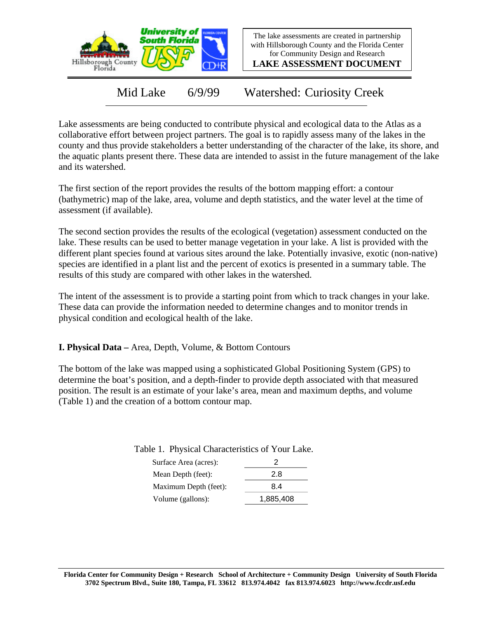

The lake assessments are created in partnership with Hillsborough County and the Florida Center for Community Design and Research

**LAKE ASSESSMENT DOCUMENT**

Mid Lake 6/9/99 Watershed: Curiosity Creek

Lake assessments are being conducted to contribute physical and ecological data to the Atlas as a collaborative effort between project partners. The goal is to rapidly assess many of the lakes in the county and thus provide stakeholders a better understanding of the character of the lake, its shore, and the aquatic plants present there. These data are intended to assist in the future management of the lake and its watershed.

The first section of the report provides the results of the bottom mapping effort: a contour (bathymetric) map of the lake, area, volume and depth statistics, and the water level at the time of assessment (if available).

The second section provides the results of the ecological (vegetation) assessment conducted on the lake. These results can be used to better manage vegetation in your lake. A list is provided with the different plant species found at various sites around the lake. Potentially invasive, exotic (non-native) species are identified in a plant list and the percent of exotics is presented in a summary table. The results of this study are compared with other lakes in the watershed.

The intent of the assessment is to provide a starting point from which to track changes in your lake. These data can provide the information needed to determine changes and to monitor trends in physical condition and ecological health of the lake.

**I. Physical Data –** Area, Depth, Volume, & Bottom Contours

The bottom of the lake was mapped using a sophisticated Global Positioning System (GPS) to determine the boat's position, and a depth-finder to provide depth associated with that measured position. The result is an estimate of your lake's area, mean and maximum depths, and volume (Table 1) and the creation of a bottom contour map.

| Surface Area (acres): |           |
|-----------------------|-----------|
| Mean Depth (feet):    | 2.8       |
| Maximum Depth (feet): | 8.4       |
| Volume (gallons):     | 1,885,408 |

Table 1. Physical Characteristics of Your Lake.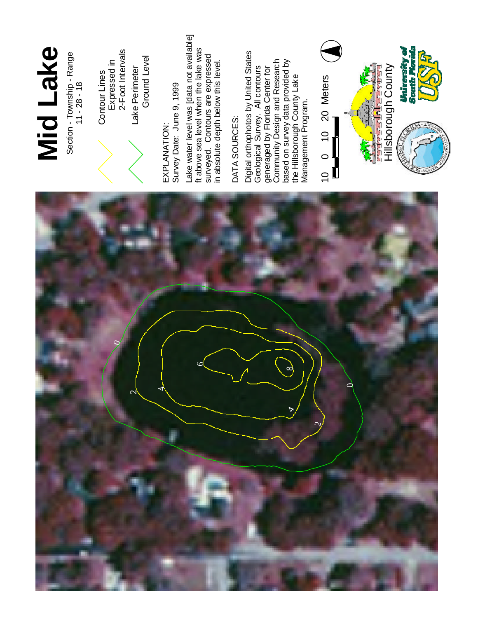

# **Σ i d L a k e**

Section - Township - Range  $11 - 28 - 18$ 

E X P L A N ATIO N : S u r v e y Date: J u n e 9 , 1 9 9 9 La k e water level was [data n ot a v aila ble ] f t a b o v e sea level when the lake w a s s u rv eyed. Contours a r e

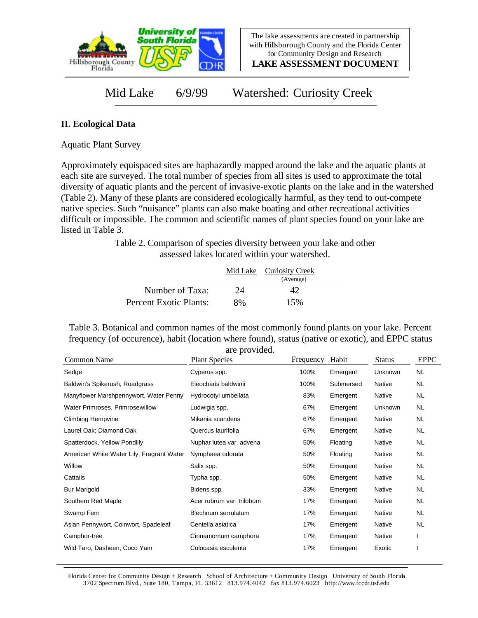

**LAKE ASSESSMENT DOCUMENT**

Mid Lake 6/9/99 Watershed: Curiosity Creek

## **II. Ecological Data**

Aquatic Plant Survey

Approximately equispaced sites are haphazardly mapped around the lake and the aquatic plants at each site are surveyed. The total number of species from all sites is used to approximate the total diversity of aquatic plants and the percent of invasive-exotic plants on the lake and in the watershed (Table 2). Many of these plants are considered ecologically harmful, as they tend to out-compete native species. Such "nuisance" plants can also make boating and other recreational activities difficult or impossible. The common and scientific names of plant species found on your lake are listed in Table 3.

> Table 2. Comparison of species diversity between your lake and other assessed lakes located within your watershed.

|                        |    | Mid Lake Curiosity Creek<br>(Average) |  |
|------------------------|----|---------------------------------------|--|
| Number of Taxa:        | 24 | 42                                    |  |
| Percent Exotic Plants: | 8% | 15%                                   |  |

Table 3. Botanical and common names of the most commonly found plants on your lake. Percent frequency (of occurence), habit (location where found), status (native or exotic), and EPPC status are provided.

| Common Name                               | are provided.<br><b>Plant Species</b> | Frequency | Habit     | <b>Status</b> | <b>EPPC</b> |
|-------------------------------------------|---------------------------------------|-----------|-----------|---------------|-------------|
| Sedge                                     | Cyperus spp.                          | 100%      | Emergent  | Unknown       | <b>NL</b>   |
| Baldwin's Spikerush, Roadgrass            | Eleocharis baldwinii                  | 100%      | Submersed | Native        | NL.         |
| Manyflower Marshpennywort, Water Penny    | Hydrocotyl umbellata                  | 83%       | Emergent  | Native        | NL.         |
| Water Primroses, Primrosewillow           | Ludwigia spp.                         | 67%       | Emergent  | Unknown       | <b>NL</b>   |
| <b>Climbing Hempvine</b>                  | Mikania scandens                      | 67%       | Emergent  | Native        | NL.         |
| Laurel Oak; Diamond Oak                   | Quercus laurifolia                    | 67%       | Emergent  | Native        | NL.         |
| Spatterdock, Yellow Pondlily              | Nuphar lutea var. advena              | 50%       | Floating  | Native        | NL.         |
| American White Water Lily, Fragrant Water | Nymphaea odorata                      | 50%       | Floating  | <b>Native</b> | NL.         |
| Willow                                    | Salix spp.                            | 50%       | Emergent  | Native        | NL.         |
| Cattails                                  | Typha spp.                            | 50%       | Emergent  | Native        | NL.         |
| <b>Bur Marigold</b>                       | Bidens spp.                           | 33%       | Emergent  | Native        | NL.         |
| Southern Red Maple                        | Acer rubrum var. trilobum             | 17%       | Emergent  | Native        | NL.         |
| Swamp Fern                                | Blechnum serrulatum                   | 17%       | Emergent  | Native        | NL.         |
| Asian Pennywort, Coinwort, Spadeleaf      | Centella asiatica                     | 17%       | Emergent  | Native        | NL.         |
| Camphor-tree                              | Cinnamomum camphora                   | 17%       | Emergent  | Native        |             |
| Wild Taro, Dasheen, Coco Yam              | Colocasia esculenta                   | 17%       | Emergent  | Exotic        |             |

Florida Center for Community Design + Research School of Architecture + Community Design University of South Florida 3702 Spectrum Blvd., Suite 180, Tampa, FL 33612 813.974.4042 fax 813.974.6023 http://www.fccdr.usf.edu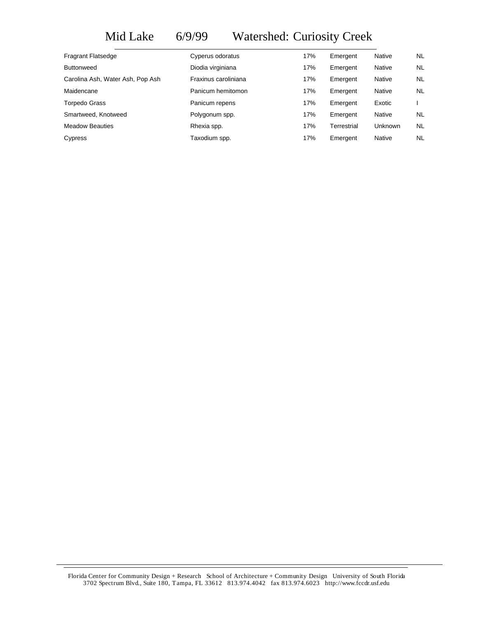## Mid Lake 6/9/99 Watershed: Curiosity Creek

| <b>Fragrant Flatsedge</b>        | Cyperus odoratus     | 17% | Emergent    | Native        | NL.       |
|----------------------------------|----------------------|-----|-------------|---------------|-----------|
| <b>Buttonweed</b>                | Diodia virginiana    | 17% | Emergent    | Native        | NL.       |
| Carolina Ash, Water Ash, Pop Ash | Fraxinus caroliniana | 17% | Emergent    | <b>Native</b> | NL.       |
| Maidencane                       | Panicum hemitomon    | 17% | Emergent    | Native        | <b>NL</b> |
| Torpedo Grass                    | Panicum repens       | 17% | Emergent    | Exotic        |           |
| Smartweed, Knotweed              | Polygonum spp.       | 17% | Emergent    | Native        | NL        |
| <b>Meadow Beauties</b>           | Rhexia spp.          | 17% | Terrestrial | Unknown       | NL.       |
| Cypress                          | Taxodium spp.        | 17% | Emergent    | Native        | NL.       |

Florida Center for Community Design + Research School of Architecture + Community Design University of South Florida 3702 Spectrum Blvd., Suite 180, Tampa, FL 33612 813.974.4042 fax 813.974.6023 http://www.fccdr.usf.edu